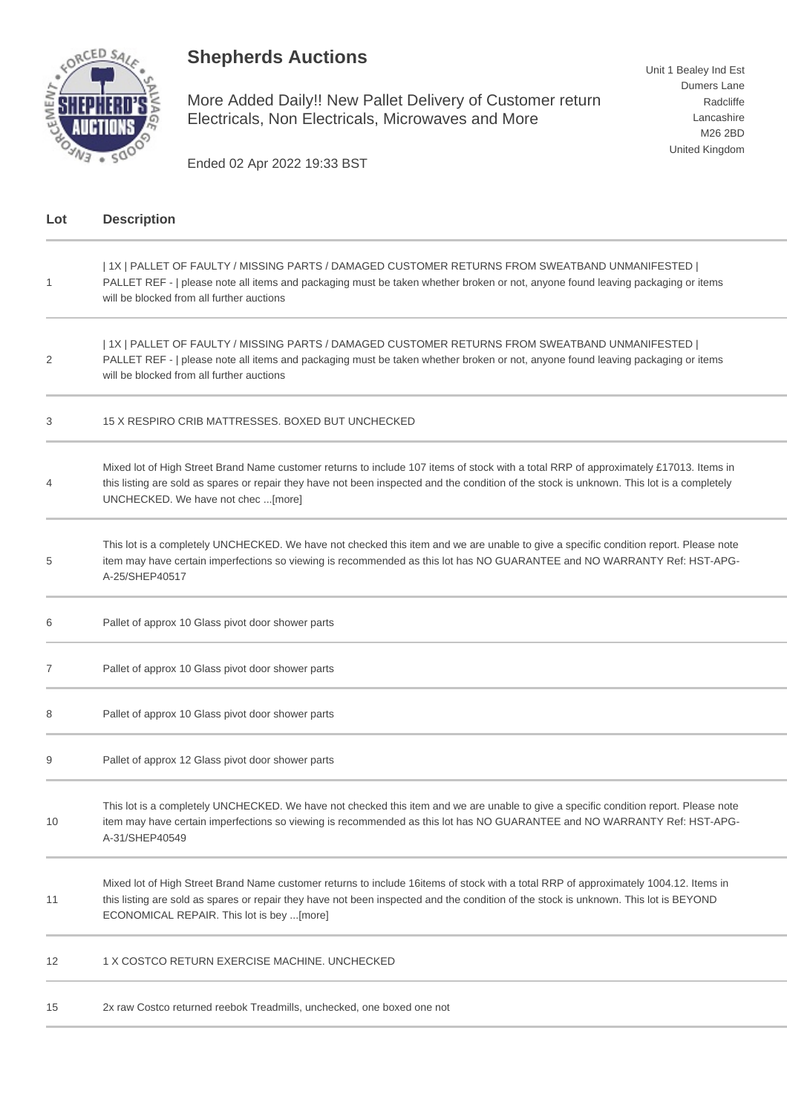## **Shepherds Auctions**



More Added Daily!! New Pallet Delivery of Customer return Electricals, Non Electricals, Microwaves and More

Ended 02 Apr 2022 19:33 BST

| Lot          | <b>Description</b>                                                                                                                                                                                                                                                                                                        |
|--------------|---------------------------------------------------------------------------------------------------------------------------------------------------------------------------------------------------------------------------------------------------------------------------------------------------------------------------|
| $\mathbf{1}$ | 1X   PALLET OF FAULTY / MISSING PARTS / DAMAGED CUSTOMER RETURNS FROM SWEATBAND UNMANIFESTED  <br>PALLET REF -   please note all items and packaging must be taken whether broken or not, anyone found leaving packaging or items<br>will be blocked from all further auctions                                            |
| 2            | 1X   PALLET OF FAULTY / MISSING PARTS / DAMAGED CUSTOMER RETURNS FROM SWEATBAND UNMANIFESTED  <br>PALLET REF -   please note all items and packaging must be taken whether broken or not, anyone found leaving packaging or items<br>will be blocked from all further auctions                                            |
| 3            | 15 X RESPIRO CRIB MATTRESSES, BOXED BUT UNCHECKED                                                                                                                                                                                                                                                                         |
| 4            | Mixed lot of High Street Brand Name customer returns to include 107 items of stock with a total RRP of approximately £17013. Items in<br>this listing are sold as spares or repair they have not been inspected and the condition of the stock is unknown. This lot is a completely<br>UNCHECKED. We have not chec [more] |
| 5            | This lot is a completely UNCHECKED. We have not checked this item and we are unable to give a specific condition report. Please note<br>item may have certain imperfections so viewing is recommended as this lot has NO GUARANTEE and NO WARRANTY Ref: HST-APG-<br>A-25/SHEP40517                                        |
| 6            | Pallet of approx 10 Glass pivot door shower parts                                                                                                                                                                                                                                                                         |
| 7            | Pallet of approx 10 Glass pivot door shower parts                                                                                                                                                                                                                                                                         |
| 8            | Pallet of approx 10 Glass pivot door shower parts                                                                                                                                                                                                                                                                         |
| 9            | Pallet of approx 12 Glass pivot door shower parts                                                                                                                                                                                                                                                                         |
| 10           | This lot is a completely UNCHECKED. We have not checked this item and we are unable to give a specific condition report. Please note<br>item may have certain imperfections so viewing is recommended as this lot has NO GUARANTEE and NO WARRANTY Ref: HST-APG-<br>A-31/SHEP40549                                        |
| 11           | Mixed lot of High Street Brand Name customer returns to include 16items of stock with a total RRP of approximately 1004.12. Items in<br>this listing are sold as spares or repair they have not been inspected and the condition of the stock is unknown. This lot is BEYOND<br>ECONOMICAL REPAIR. This lot is bey [more] |
| 12           | 1 X COSTCO RETURN EXERCISE MACHINE. UNCHECKED                                                                                                                                                                                                                                                                             |
| 15           | 2x raw Costco returned reebok Treadmills, unchecked, one boxed one not                                                                                                                                                                                                                                                    |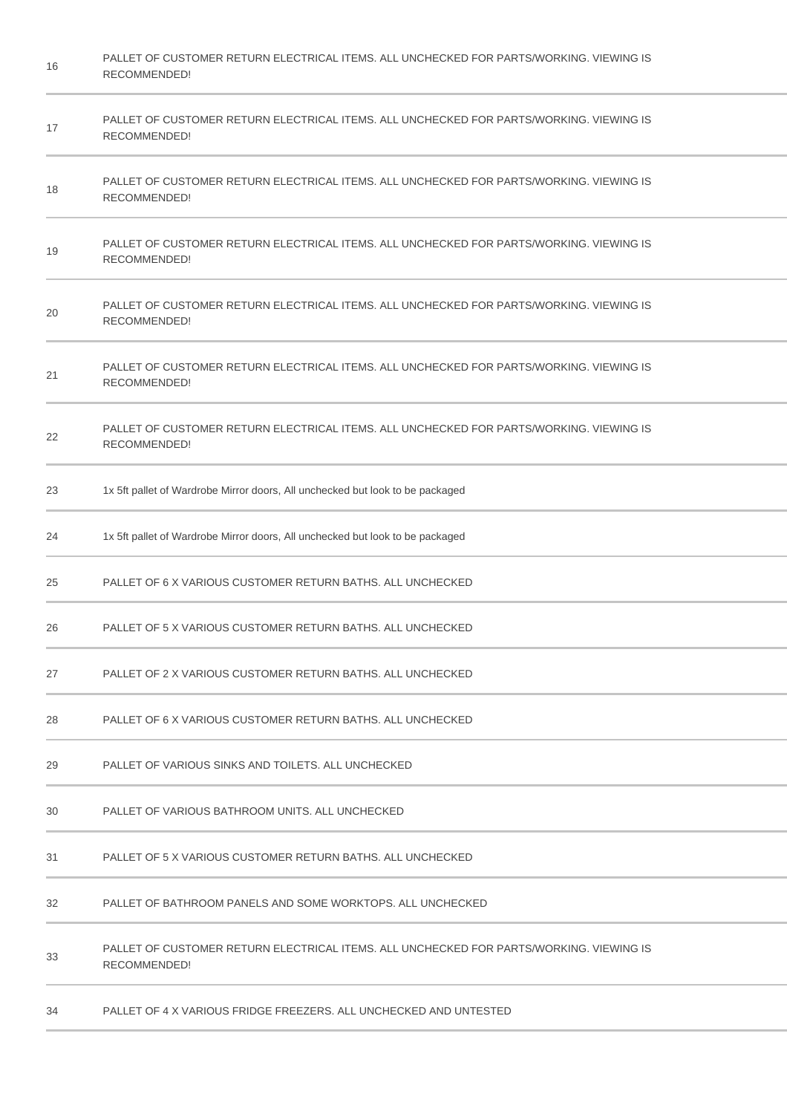| 16 | PALLET OF CUSTOMER RETURN ELECTRICAL ITEMS. ALL UNCHECKED FOR PARTS/WORKING. VIEWING IS<br>RECOMMENDED! |
|----|---------------------------------------------------------------------------------------------------------|
| 17 | PALLET OF CUSTOMER RETURN ELECTRICAL ITEMS. ALL UNCHECKED FOR PARTS/WORKING. VIEWING IS<br>RECOMMENDED! |
| 18 | PALLET OF CUSTOMER RETURN ELECTRICAL ITEMS. ALL UNCHECKED FOR PARTS/WORKING. VIEWING IS<br>RECOMMENDED! |
| 19 | PALLET OF CUSTOMER RETURN ELECTRICAL ITEMS. ALL UNCHECKED FOR PARTS/WORKING. VIEWING IS<br>RECOMMENDED! |
| 20 | PALLET OF CUSTOMER RETURN ELECTRICAL ITEMS. ALL UNCHECKED FOR PARTS/WORKING. VIEWING IS<br>RECOMMENDED! |
| 21 | PALLET OF CUSTOMER RETURN ELECTRICAL ITEMS. ALL UNCHECKED FOR PARTS/WORKING. VIEWING IS<br>RECOMMENDED! |
| 22 | PALLET OF CUSTOMER RETURN ELECTRICAL ITEMS. ALL UNCHECKED FOR PARTS/WORKING. VIEWING IS<br>RECOMMENDED! |
| 23 | 1x 5ft pallet of Wardrobe Mirror doors, All unchecked but look to be packaged                           |
| 24 | 1x 5ft pallet of Wardrobe Mirror doors, All unchecked but look to be packaged                           |
| 25 | PALLET OF 6 X VARIOUS CUSTOMER RETURN BATHS. ALL UNCHECKED                                              |
| 26 | PALLET OF 5 X VARIOUS CUSTOMER RETURN BATHS. ALL UNCHECKED                                              |
| 27 | PALLET OF 2 X VARIOUS CUSTOMER RETURN BATHS. ALL UNCHECKED                                              |
| 28 | PALLET OF 6 X VARIOUS CUSTOMER RETURN BATHS. ALL UNCHECKED                                              |
| 29 | PALLET OF VARIOUS SINKS AND TOILETS. ALL UNCHECKED                                                      |
| 30 | PALLET OF VARIOUS BATHROOM UNITS. ALL UNCHECKED                                                         |
| 31 | PALLET OF 5 X VARIOUS CUSTOMER RETURN BATHS. ALL UNCHECKED                                              |
| 32 | PALLET OF BATHROOM PANELS AND SOME WORKTOPS. ALL UNCHECKED                                              |
| 33 | PALLET OF CUSTOMER RETURN ELECTRICAL ITEMS. ALL UNCHECKED FOR PARTS/WORKING, VIEWING IS<br>RECOMMENDED! |
| 34 | PALLET OF 4 X VARIOUS FRIDGE FREEZERS. ALL UNCHECKED AND UNTESTED                                       |